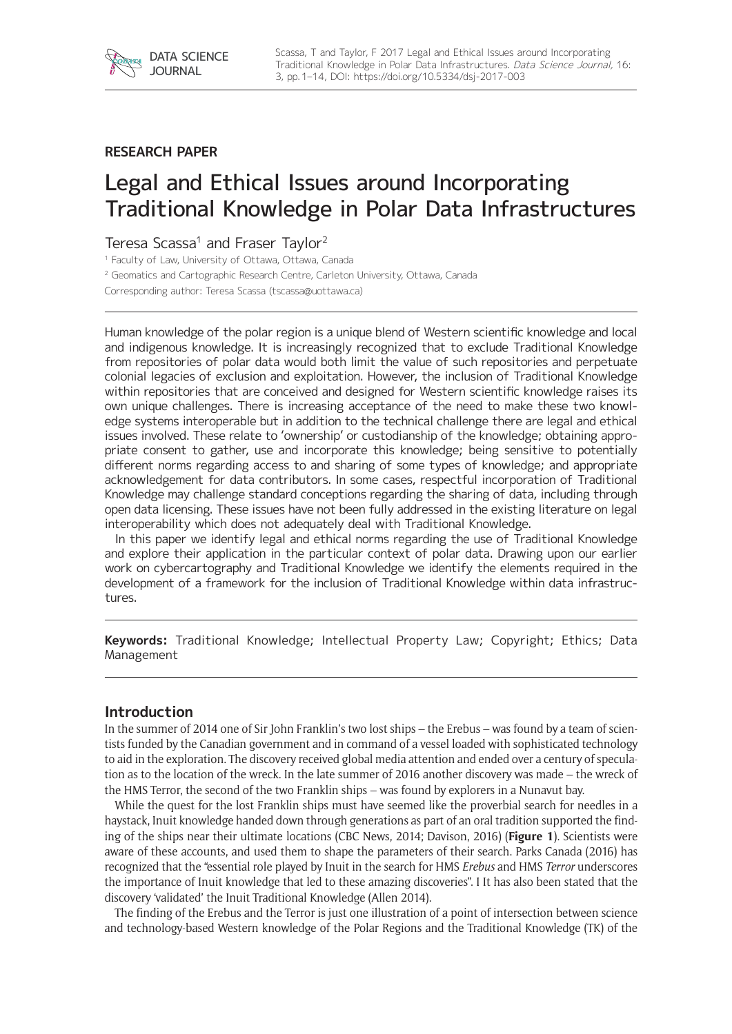

## **RESEARCH PAPER**

# Legal and Ethical Issues around Incorporating Traditional Knowledge in Polar Data Infrastructures

# Teresa Scassa<sup>1</sup> and Fraser Taylor<sup>2</sup>

<sup>1</sup> Faculty of Law, University of Ottawa, Ottawa, Canada

<sup>2</sup> Geomatics and Cartographic Research Centre, Carleton University, Ottawa, Canada

Corresponding author: Teresa Scassa ([tscassa@uottawa.ca\)](mailto:tscassa@uottawa.ca)

Human knowledge of the polar region is a unique blend of Western scientific knowledge and local and indigenous knowledge. It is increasingly recognized that to exclude Traditional Knowledge from repositories of polar data would both limit the value of such repositories and perpetuate colonial legacies of exclusion and exploitation. However, the inclusion of Traditional Knowledge within repositories that are conceived and designed for Western scientific knowledge raises its own unique challenges. There is increasing acceptance of the need to make these two knowledge systems interoperable but in addition to the technical challenge there are legal and ethical issues involved. These relate to 'ownership' or custodianship of the knowledge; obtaining appropriate consent to gather, use and incorporate this knowledge; being sensitive to potentially different norms regarding access to and sharing of some types of knowledge; and appropriate acknowledgement for data contributors. In some cases, respectful incorporation of Traditional Knowledge may challenge standard conceptions regarding the sharing of data, including through open data licensing. These issues have not been fully addressed in the existing literature on legal interoperability which does not adequately deal with Traditional Knowledge.

In this paper we identify legal and ethical norms regarding the use of Traditional Knowledge and explore their application in the particular context of polar data. Drawing upon our earlier work on cybercartography and Traditional Knowledge we identify the elements required in the development of a framework for the inclusion of Traditional Knowledge within data infrastructures.

**Keywords:** Traditional Knowledge; Intellectual Property Law; Copyright; Ethics; Data Management

## **Introduction**

In the summer of 2014 one of Sir John Franklin's two lost ships – the Erebus – was found by a team of scientists funded by the Canadian government and in command of a vessel loaded with sophisticated technology to aid in the exploration. The discovery received global media attention and ended over a century of speculation as to the location of the wreck. In the late summer of 2016 another discovery was made – the wreck of the HMS Terror, the second of the two Franklin ships – was found by explorers in a Nunavut bay.

While the quest for the lost Franklin ships must have seemed like the proverbial search for needles in a haystack, Inuit knowledge handed down through generations as part of an oral tradition supported the finding of the ships near their ultimate locations (CBC News, 2014; Davison, 2016) (**Figure 1**). Scientists were aware of these accounts, and used them to shape the parameters of their search. Parks Canada (2016) has recognized that the "essential role played by Inuit in the search for HMS *Erebus* and HMS *Terror* underscores the importance of Inuit knowledge that led to these amazing discoveries". I It has also been stated that the discovery 'validated' the Inuit Traditional Knowledge (Allen 2014).

The finding of the Erebus and the Terror is just one illustration of a point of intersection between science and technology-based Western knowledge of the Polar Regions and the Traditional Knowledge (TK) of the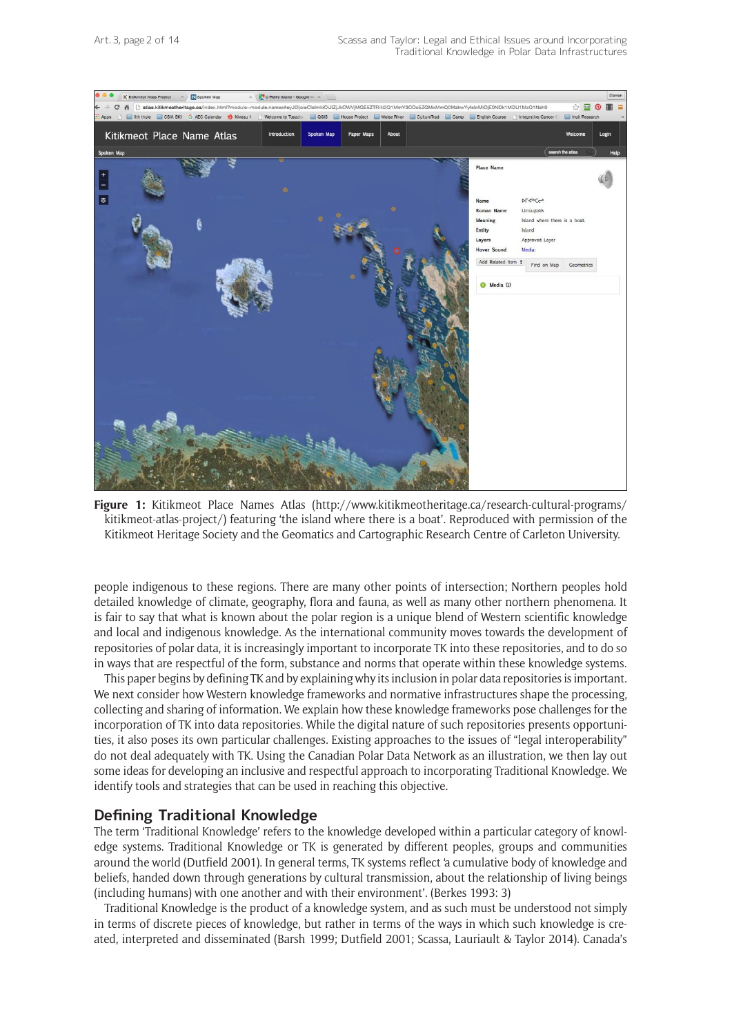

**Figure 1:** Kitikmeot Place Names Atlas ([http://www.kitikmeotheritage.ca/research-cultural-programs/](http://www.kitikmeotheritage.ca/research-cultural-programs/kitikmeot-atlas-project/) [kitikmeot-atlas-project/](http://www.kitikmeotheritage.ca/research-cultural-programs/kitikmeot-atlas-project/)) featuring 'the island where there is a boat'. Reproduced with permission of the Kitikmeot Heritage Society and the Geomatics and Cartographic Research Centre of Carleton University.

people indigenous to these regions. There are many other points of intersection; Northern peoples hold detailed knowledge of climate, geography, flora and fauna, as well as many other northern phenomena. It is fair to say that what is known about the polar region is a unique blend of Western scientific knowledge and local and indigenous knowledge. As the international community moves towards the development of repositories of polar data, it is increasingly important to incorporate TK into these repositories, and to do so in ways that are respectful of the form, substance and norms that operate within these knowledge systems.

This paper begins by defining TK and by explaining why its inclusion in polar data repositories is important. We next consider how Western knowledge frameworks and normative infrastructures shape the processing, collecting and sharing of information. We explain how these knowledge frameworks pose challenges for the incorporation of TK into data repositories. While the digital nature of such repositories presents opportunities, it also poses its own particular challenges. Existing approaches to the issues of "legal interoperability" do not deal adequately with TK. Using the Canadian Polar Data Network as an illustration, we then lay out some ideas for developing an inclusive and respectful approach to incorporating Traditional Knowledge. We identify tools and strategies that can be used in reaching this objective.

#### **Defining Traditional Knowledge**

The term 'Traditional Knowledge' refers to the knowledge developed within a particular category of knowledge systems. Traditional Knowledge or TK is generated by different peoples, groups and communities around the world (Dutfield 2001). In general terms, TK systems reflect 'a cumulative body of knowledge and beliefs, handed down through generations by cultural transmission, about the relationship of living beings (including humans) with one another and with their environment'. (Berkes 1993: 3)

Traditional Knowledge is the product of a knowledge system, and as such must be understood not simply in terms of discrete pieces of knowledge, but rather in terms of the ways in which such knowledge is created, interpreted and disseminated (Barsh 1999; Dutfield 2001; Scassa, Lauriault & Taylor 2014). Canada's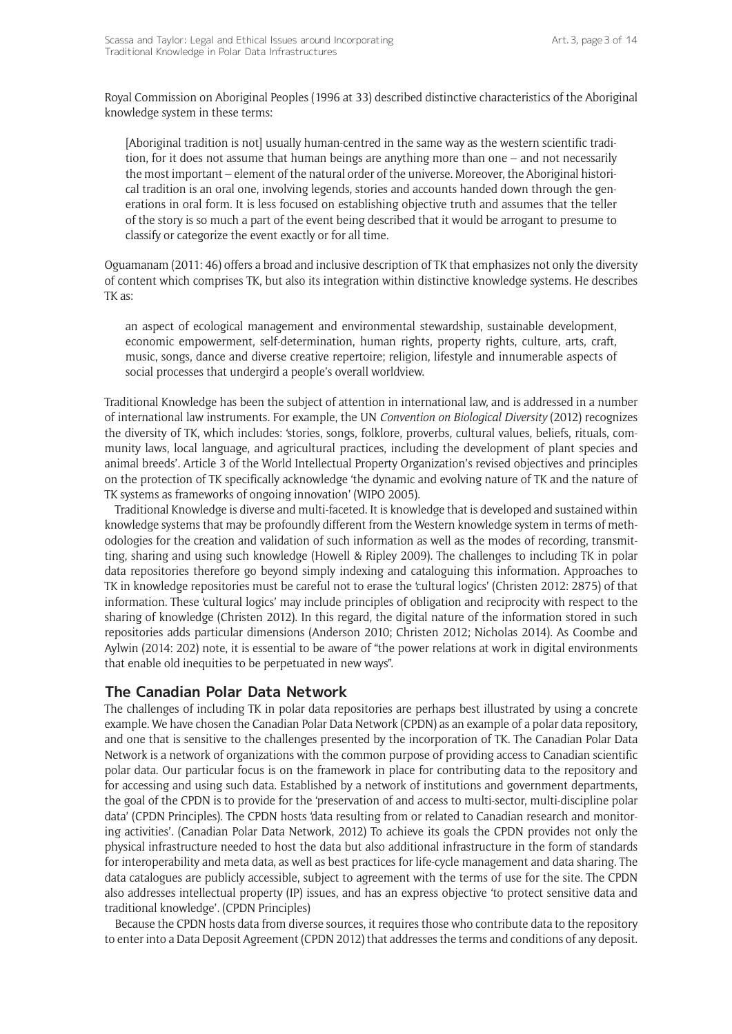Royal Commission on Aboriginal Peoples (1996 at 33) described distinctive characteristics of the Aboriginal knowledge system in these terms:

[Aboriginal tradition is not] usually human-centred in the same way as the western scientific tradition, for it does not assume that human beings are anything more than one – and not necessarily the most important – element of the natural order of the universe. Moreover, the Aboriginal historical tradition is an oral one, involving legends, stories and accounts handed down through the generations in oral form. It is less focused on establishing objective truth and assumes that the teller of the story is so much a part of the event being described that it would be arrogant to presume to classify or categorize the event exactly or for all time.

Oguamanam (2011: 46) offers a broad and inclusive description of TK that emphasizes not only the diversity of content which comprises TK, but also its integration within distinctive knowledge systems. He describes TK as:

an aspect of ecological management and environmental stewardship, sustainable development, economic empowerment, self-determination, human rights, property rights, culture, arts, craft, music, songs, dance and diverse creative repertoire; religion, lifestyle and innumerable aspects of social processes that undergird a people's overall worldview.

Traditional Knowledge has been the subject of attention in international law, and is addressed in a number of international law instruments. For example, the UN *Convention on Biological Diversity* (2012) recognizes the diversity of TK, which includes: 'stories, songs, folklore, proverbs, cultural values, beliefs, rituals, community laws, local language, and agricultural practices, including the development of plant species and animal breeds'. Article 3 of the World Intellectual Property Organization's revised objectives and principles on the protection of TK specifically acknowledge 'the dynamic and evolving nature of TK and the nature of TK systems as frameworks of ongoing innovation' (WIPO 2005).

Traditional Knowledge is diverse and multi-faceted. It is knowledge that is developed and sustained within knowledge systems that may be profoundly different from the Western knowledge system in terms of methodologies for the creation and validation of such information as well as the modes of recording, transmitting, sharing and using such knowledge (Howell & Ripley 2009). The challenges to including TK in polar data repositories therefore go beyond simply indexing and cataloguing this information. Approaches to TK in knowledge repositories must be careful not to erase the 'cultural logics' (Christen 2012: 2875) of that information. These 'cultural logics' may include principles of obligation and reciprocity with respect to the sharing of knowledge (Christen 2012). In this regard, the digital nature of the information stored in such repositories adds particular dimensions (Anderson 2010; Christen 2012; Nicholas 2014). As Coombe and Aylwin (2014: 202) note, it is essential to be aware of "the power relations at work in digital environments that enable old inequities to be perpetuated in new ways".

#### **The Canadian Polar Data Network**

The challenges of including TK in polar data repositories are perhaps best illustrated by using a concrete example. We have chosen the Canadian Polar Data Network (CPDN) as an example of a polar data repository, and one that is sensitive to the challenges presented by the incorporation of TK. The Canadian Polar Data Network is a network of organizations with the common purpose of providing access to Canadian scientific polar data. Our particular focus is on the framework in place for contributing data to the repository and for accessing and using such data. Established by a network of institutions and government departments, the goal of the CPDN is to provide for the 'preservation of and access to multi-sector, multi-discipline polar data' (CPDN Principles). The CPDN hosts 'data resulting from or related to Canadian research and monitoring activities'. (Canadian Polar Data Network, 2012) To achieve its goals the CPDN provides not only the physical infrastructure needed to host the data but also additional infrastructure in the form of standards for interoperability and meta data, as well as best practices for life-cycle management and data sharing. The data catalogues are publicly accessible, subject to agreement with the terms of use for the site. The CPDN also addresses intellectual property (IP) issues, and has an express objective 'to protect sensitive data and traditional knowledge'. (CPDN Principles)

Because the CPDN hosts data from diverse sources, it requires those who contribute data to the repository to enter into a Data Deposit Agreement (CPDN 2012) that addresses the terms and conditions of any deposit.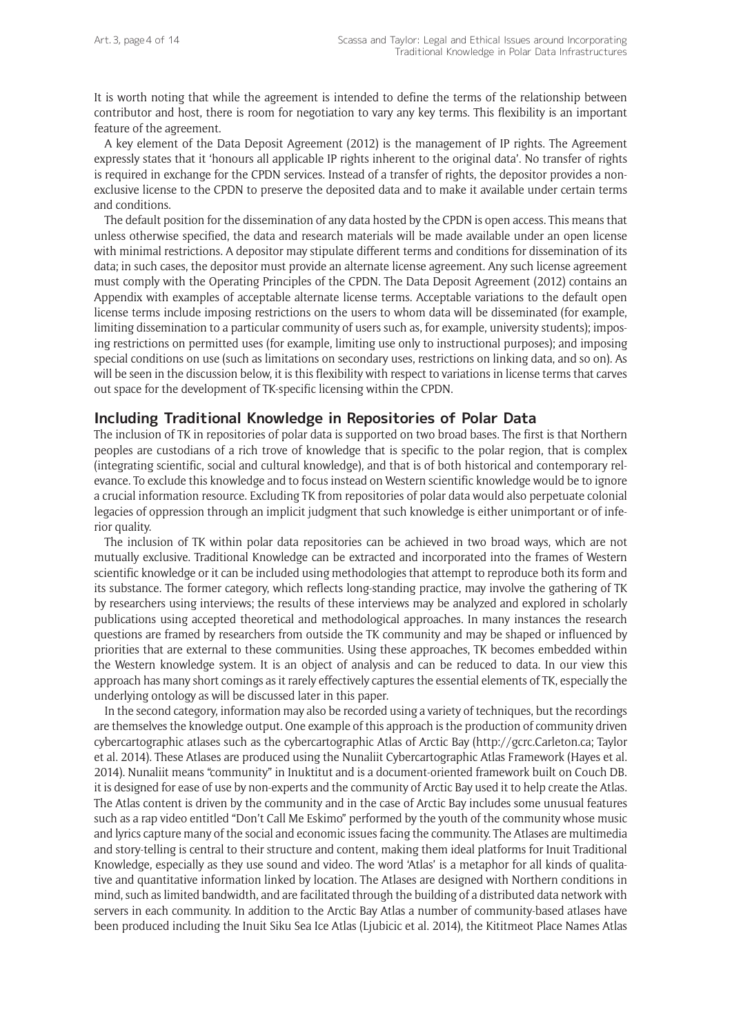It is worth noting that while the agreement is intended to define the terms of the relationship between contributor and host, there is room for negotiation to vary any key terms. This flexibility is an important feature of the agreement.

A key element of the Data Deposit Agreement (2012) is the management of IP rights. The Agreement expressly states that it 'honours all applicable IP rights inherent to the original data'. No transfer of rights is required in exchange for the CPDN services. Instead of a transfer of rights, the depositor provides a nonexclusive license to the CPDN to preserve the deposited data and to make it available under certain terms and conditions.

The default position for the dissemination of any data hosted by the CPDN is open access. This means that unless otherwise specified, the data and research materials will be made available under an open license with minimal restrictions. A depositor may stipulate different terms and conditions for dissemination of its data; in such cases, the depositor must provide an alternate license agreement. Any such license agreement must comply with the Operating Principles of the CPDN. The Data Deposit Agreement (2012) contains an Appendix with examples of acceptable alternate license terms. Acceptable variations to the default open license terms include imposing restrictions on the users to whom data will be disseminated (for example, limiting dissemination to a particular community of users such as, for example, university students); imposing restrictions on permitted uses (for example, limiting use only to instructional purposes); and imposing special conditions on use (such as limitations on secondary uses, restrictions on linking data, and so on). As will be seen in the discussion below, it is this flexibility with respect to variations in license terms that carves out space for the development of TK-specific licensing within the CPDN.

## **Including Traditional Knowledge in Repositories of Polar Data**

The inclusion of TK in repositories of polar data is supported on two broad bases. The first is that Northern peoples are custodians of a rich trove of knowledge that is specific to the polar region, that is complex (integrating scientific, social and cultural knowledge), and that is of both historical and contemporary relevance. To exclude this knowledge and to focus instead on Western scientific knowledge would be to ignore a crucial information resource. Excluding TK from repositories of polar data would also perpetuate colonial legacies of oppression through an implicit judgment that such knowledge is either unimportant or of inferior quality.

The inclusion of TK within polar data repositories can be achieved in two broad ways, which are not mutually exclusive. Traditional Knowledge can be extracted and incorporated into the frames of Western scientific knowledge or it can be included using methodologies that attempt to reproduce both its form and its substance. The former category, which reflects long-standing practice, may involve the gathering of TK by researchers using interviews; the results of these interviews may be analyzed and explored in scholarly publications using accepted theoretical and methodological approaches. In many instances the research questions are framed by researchers from outside the TK community and may be shaped or influenced by priorities that are external to these communities. Using these approaches, TK becomes embedded within the Western knowledge system. It is an object of analysis and can be reduced to data. In our view this approach has many short comings as it rarely effectively captures the essential elements of TK, especially the underlying ontology as will be discussed later in this paper.

In the second category, information may also be recorded using a variety of techniques, but the recordings are themselves the knowledge output. One example of this approach is the production of community driven cybercartographic atlases such as the cybercartographic Atlas of Arctic Bay (http://gcrc.Carleton.ca; Taylor et al. 2014). These Atlases are produced using the Nunaliit Cybercartographic Atlas Framework (Hayes et al. 2014). Nunaliit means "community" in Inuktitut and is a document-oriented framework built on Couch DB. it is designed for ease of use by non-experts and the community of Arctic Bay used it to help create the Atlas. The Atlas content is driven by the community and in the case of Arctic Bay includes some unusual features such as a rap video entitled "Don't Call Me Eskimo" performed by the youth of the community whose music and lyrics capture many of the social and economic issues facing the community. The Atlases are multimedia and story-telling is central to their structure and content, making them ideal platforms for Inuit Traditional Knowledge, especially as they use sound and video. The word 'Atlas' is a metaphor for all kinds of qualitative and quantitative information linked by location. The Atlases are designed with Northern conditions in mind, such as limited bandwidth, and are facilitated through the building of a distributed data network with servers in each community. In addition to the Arctic Bay Atlas a number of community-based atlases have been produced including the Inuit Siku Sea Ice Atlas (Ljubicic et al. 2014), the Kititmeot Place Names Atlas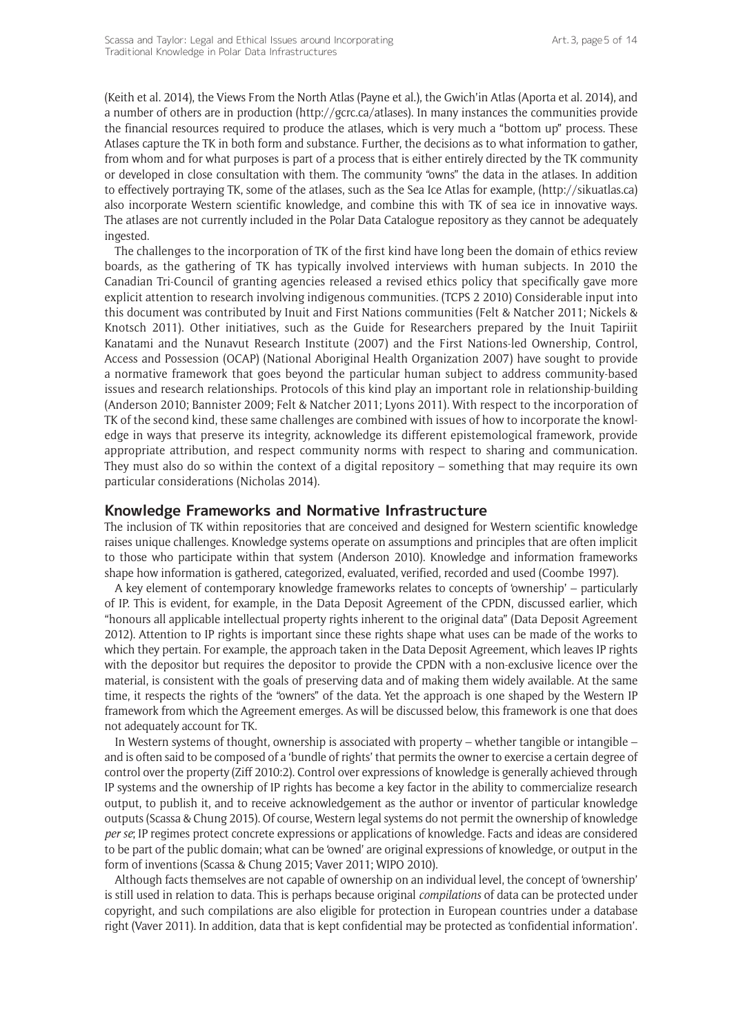(Keith et al. 2014), the Views From the North Atlas (Payne et al.), the Gwich'in Atlas (Aporta et al. 2014), and a number of others are in production (http://gcrc.ca/atlases). In many instances the communities provide the financial resources required to produce the atlases, which is very much a "bottom up" process. These Atlases capture the TK in both form and substance. Further, the decisions as to what information to gather, from whom and for what purposes is part of a process that is either entirely directed by the TK community or developed in close consultation with them. The community "owns" the data in the atlases. In addition to effectively portraying TK, some of the atlases, such as the Sea Ice Atlas for example, ([http://sikuatlas.ca\)](http://sikuatlas.ca) also incorporate Western scientific knowledge, and combine this with TK of sea ice in innovative ways. The atlases are not currently included in the Polar Data Catalogue repository as they cannot be adequately ingested.

The challenges to the incorporation of TK of the first kind have long been the domain of ethics review boards, as the gathering of TK has typically involved interviews with human subjects. In 2010 the Canadian Tri-Council of granting agencies released a revised ethics policy that specifically gave more explicit attention to research involving indigenous communities. (TCPS 2 2010) Considerable input into this document was contributed by Inuit and First Nations communities (Felt & Natcher 2011; Nickels & Knotsch 2011). Other initiatives, such as the Guide for Researchers prepared by the Inuit Tapiriit Kanatami and the Nunavut Research Institute (2007) and the First Nations-led Ownership, Control, Access and Possession (OCAP) (National Aboriginal Health Organization 2007) have sought to provide a normative framework that goes beyond the particular human subject to address community-based issues and research relationships. Protocols of this kind play an important role in relationship-building (Anderson 2010; Bannister 2009; Felt & Natcher 2011; Lyons 2011). With respect to the incorporation of TK of the second kind, these same challenges are combined with issues of how to incorporate the knowledge in ways that preserve its integrity, acknowledge its different epistemological framework, provide appropriate attribution, and respect community norms with respect to sharing and communication. They must also do so within the context of a digital repository – something that may require its own particular considerations (Nicholas 2014).

#### **Knowledge Frameworks and Normative Infrastructure**

The inclusion of TK within repositories that are conceived and designed for Western scientific knowledge raises unique challenges. Knowledge systems operate on assumptions and principles that are often implicit to those who participate within that system (Anderson 2010). Knowledge and information frameworks shape how information is gathered, categorized, evaluated, verified, recorded and used (Coombe 1997).

A key element of contemporary knowledge frameworks relates to concepts of 'ownership' – particularly of IP. This is evident, for example, in the Data Deposit Agreement of the CPDN, discussed earlier, which "honours all applicable intellectual property rights inherent to the original data" (Data Deposit Agreement 2012). Attention to IP rights is important since these rights shape what uses can be made of the works to which they pertain. For example, the approach taken in the Data Deposit Agreement, which leaves IP rights with the depositor but requires the depositor to provide the CPDN with a non-exclusive licence over the material, is consistent with the goals of preserving data and of making them widely available. At the same time, it respects the rights of the "owners" of the data. Yet the approach is one shaped by the Western IP framework from which the Agreement emerges. As will be discussed below, this framework is one that does not adequately account for TK.

In Western systems of thought, ownership is associated with property – whether tangible or intangible – and is often said to be composed of a 'bundle of rights' that permits the owner to exercise a certain degree of control over the property (Ziff 2010:2). Control over expressions of knowledge is generally achieved through IP systems and the ownership of IP rights has become a key factor in the ability to commercialize research output, to publish it, and to receive acknowledgement as the author or inventor of particular knowledge outputs (Scassa & Chung 2015). Of course, Western legal systems do not permit the ownership of knowledge *per se*; IP regimes protect concrete expressions or applications of knowledge. Facts and ideas are considered to be part of the public domain; what can be 'owned' are original expressions of knowledge, or output in the form of inventions (Scassa & Chung 2015; Vaver 2011; WIPO 2010).

Although facts themselves are not capable of ownership on an individual level, the concept of 'ownership' is still used in relation to data. This is perhaps because original *compilations* of data can be protected under copyright, and such compilations are also eligible for protection in European countries under a database right (Vaver 2011). In addition, data that is kept confidential may be protected as 'confidential information'.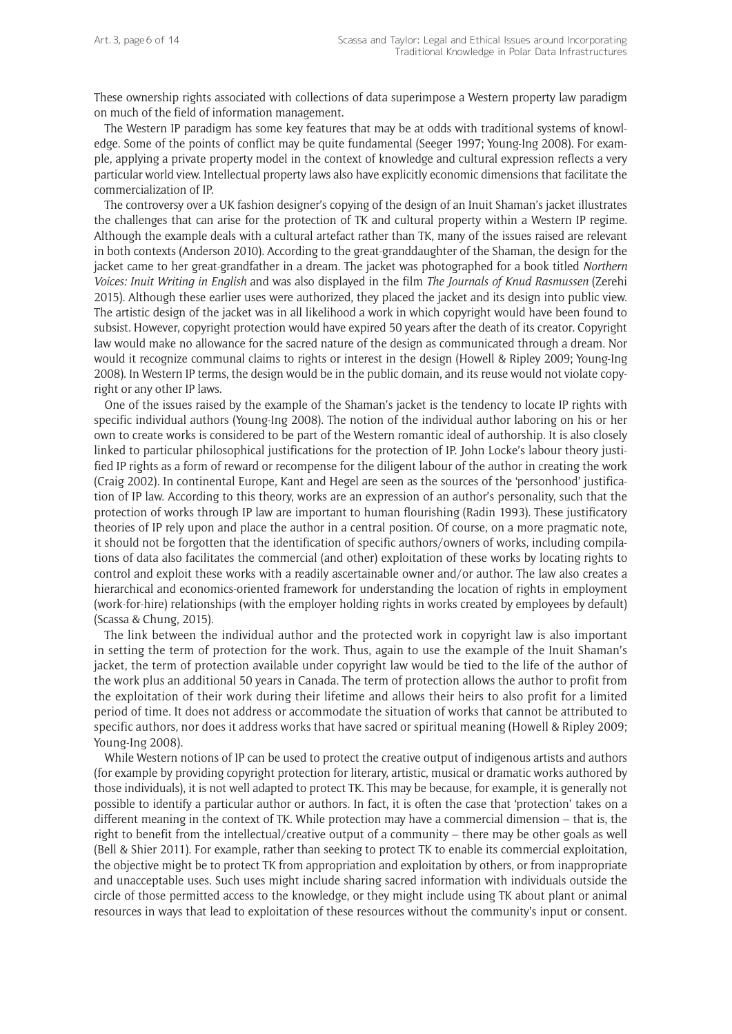These ownership rights associated with collections of data superimpose a Western property law paradigm on much of the field of information management.

The Western IP paradigm has some key features that may be at odds with traditional systems of knowledge. Some of the points of conflict may be quite fundamental (Seeger 1997; Young-Ing 2008). For example, applying a private property model in the context of knowledge and cultural expression reflects a very particular world view. Intellectual property laws also have explicitly economic dimensions that facilitate the commercialization of IP.

The controversy over a UK fashion designer's copying of the design of an Inuit Shaman's jacket illustrates the challenges that can arise for the protection of TK and cultural property within a Western IP regime. Although the example deals with a cultural artefact rather than TK, many of the issues raised are relevant in both contexts (Anderson 2010). According to the great-granddaughter of the Shaman, the design for the jacket came to her great-grandfather in a dream. The jacket was photographed for a book titled *Northern Voices: Inuit Writing in English* and was also displayed in the film *The Journals of Knud Rasmussen* (Zerehi 2015). Although these earlier uses were authorized, they placed the jacket and its design into public view. The artistic design of the jacket was in all likelihood a work in which copyright would have been found to subsist. However, copyright protection would have expired 50 years after the death of its creator. Copyright law would make no allowance for the sacred nature of the design as communicated through a dream. Nor would it recognize communal claims to rights or interest in the design (Howell & Ripley 2009; Young-Ing 2008). In Western IP terms, the design would be in the public domain, and its reuse would not violate copyright or any other IP laws.

One of the issues raised by the example of the Shaman's jacket is the tendency to locate IP rights with specific individual authors (Young-Ing 2008). The notion of the individual author laboring on his or her own to create works is considered to be part of the Western romantic ideal of authorship. It is also closely linked to particular philosophical justifications for the protection of IP. John Locke's labour theory justified IP rights as a form of reward or recompense for the diligent labour of the author in creating the work (Craig 2002). In continental Europe, Kant and Hegel are seen as the sources of the 'personhood' justification of IP law. According to this theory, works are an expression of an author's personality, such that the protection of works through IP law are important to human flourishing (Radin 1993). These justificatory theories of IP rely upon and place the author in a central position. Of course, on a more pragmatic note, it should not be forgotten that the identification of specific authors/owners of works, including compilations of data also facilitates the commercial (and other) exploitation of these works by locating rights to control and exploit these works with a readily ascertainable owner and/or author. The law also creates a hierarchical and economics-oriented framework for understanding the location of rights in employment (work-for-hire) relationships (with the employer holding rights in works created by employees by default) (Scassa & Chung, 2015).

The link between the individual author and the protected work in copyright law is also important in setting the term of protection for the work. Thus, again to use the example of the Inuit Shaman's jacket, the term of protection available under copyright law would be tied to the life of the author of the work plus an additional 50 years in Canada. The term of protection allows the author to profit from the exploitation of their work during their lifetime and allows their heirs to also profit for a limited period of time. It does not address or accommodate the situation of works that cannot be attributed to specific authors, nor does it address works that have sacred or spiritual meaning (Howell & Ripley 2009; Young-Ing 2008).

While Western notions of IP can be used to protect the creative output of indigenous artists and authors (for example by providing copyright protection for literary, artistic, musical or dramatic works authored by those individuals), it is not well adapted to protect TK. This may be because, for example, it is generally not possible to identify a particular author or authors. In fact, it is often the case that 'protection' takes on a different meaning in the context of TK. While protection may have a commercial dimension – that is, the right to benefit from the intellectual/creative output of a community – there may be other goals as well (Bell & Shier 2011). For example, rather than seeking to protect TK to enable its commercial exploitation, the objective might be to protect TK from appropriation and exploitation by others, or from inappropriate and unacceptable uses. Such uses might include sharing sacred information with individuals outside the circle of those permitted access to the knowledge, or they might include using TK about plant or animal resources in ways that lead to exploitation of these resources without the community's input or consent.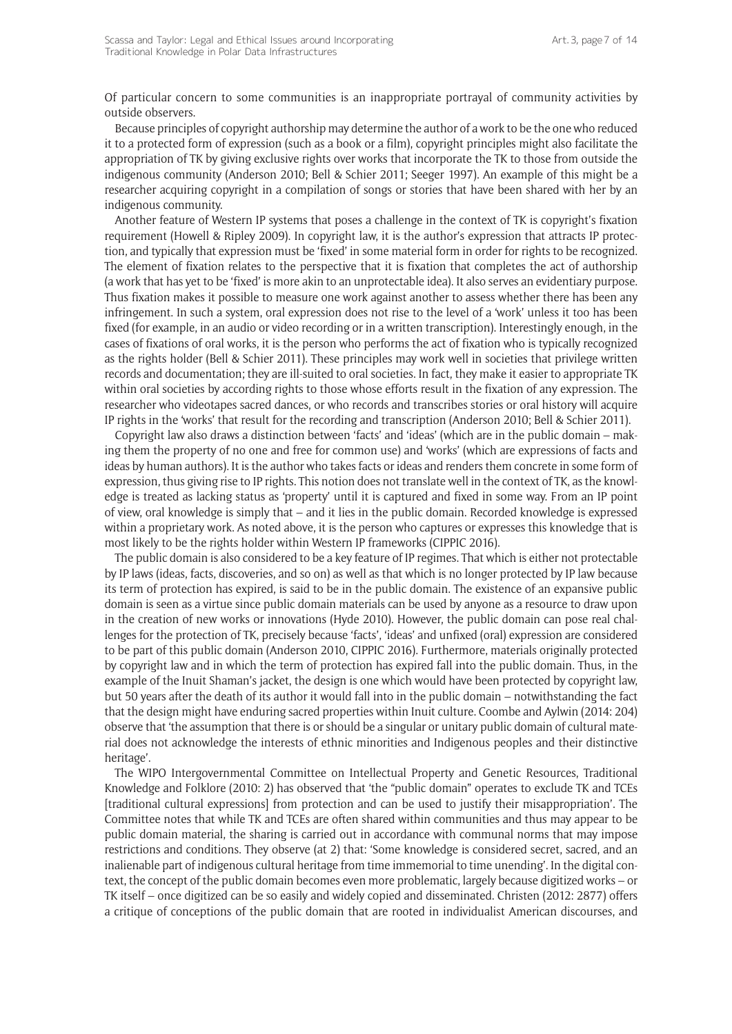Of particular concern to some communities is an inappropriate portrayal of community activities by outside observers.

Because principles of copyright authorship may determine the author of a work to be the one who reduced it to a protected form of expression (such as a book or a film), copyright principles might also facilitate the appropriation of TK by giving exclusive rights over works that incorporate the TK to those from outside the indigenous community (Anderson 2010; Bell & Schier 2011; Seeger 1997). An example of this might be a researcher acquiring copyright in a compilation of songs or stories that have been shared with her by an indigenous community.

Another feature of Western IP systems that poses a challenge in the context of TK is copyright's fixation requirement (Howell & Ripley 2009). In copyright law, it is the author's expression that attracts IP protection, and typically that expression must be 'fixed' in some material form in order for rights to be recognized. The element of fixation relates to the perspective that it is fixation that completes the act of authorship (a work that has yet to be 'fixed' is more akin to an unprotectable idea). It also serves an evidentiary purpose. Thus fixation makes it possible to measure one work against another to assess whether there has been any infringement. In such a system, oral expression does not rise to the level of a 'work' unless it too has been fixed (for example, in an audio or video recording or in a written transcription). Interestingly enough, in the cases of fixations of oral works, it is the person who performs the act of fixation who is typically recognized as the rights holder (Bell & Schier 2011). These principles may work well in societies that privilege written records and documentation; they are ill-suited to oral societies. In fact, they make it easier to appropriate TK within oral societies by according rights to those whose efforts result in the fixation of any expression. The researcher who videotapes sacred dances, or who records and transcribes stories or oral history will acquire IP rights in the 'works' that result for the recording and transcription (Anderson 2010; Bell & Schier 2011).

Copyright law also draws a distinction between 'facts' and 'ideas' (which are in the public domain – making them the property of no one and free for common use) and 'works' (which are expressions of facts and ideas by human authors). It is the author who takes facts or ideas and renders them concrete in some form of expression, thus giving rise to IP rights. This notion does not translate well in the context of TK, as the knowledge is treated as lacking status as 'property' until it is captured and fixed in some way. From an IP point of view, oral knowledge is simply that – and it lies in the public domain. Recorded knowledge is expressed within a proprietary work. As noted above, it is the person who captures or expresses this knowledge that is most likely to be the rights holder within Western IP frameworks (CIPPIC 2016).

The public domain is also considered to be a key feature of IP regimes. That which is either not protectable by IP laws (ideas, facts, discoveries, and so on) as well as that which is no longer protected by IP law because its term of protection has expired, is said to be in the public domain. The existence of an expansive public domain is seen as a virtue since public domain materials can be used by anyone as a resource to draw upon in the creation of new works or innovations (Hyde 2010). However, the public domain can pose real challenges for the protection of TK, precisely because 'facts', 'ideas' and unfixed (oral) expression are considered to be part of this public domain (Anderson 2010, CIPPIC 2016). Furthermore, materials originally protected by copyright law and in which the term of protection has expired fall into the public domain. Thus, in the example of the Inuit Shaman's jacket, the design is one which would have been protected by copyright law, but 50 years after the death of its author it would fall into in the public domain – notwithstanding the fact that the design might have enduring sacred properties within Inuit culture. Coombe and Aylwin (2014: 204) observe that 'the assumption that there is or should be a singular or unitary public domain of cultural material does not acknowledge the interests of ethnic minorities and Indigenous peoples and their distinctive heritage'.

The WIPO Intergovernmental Committee on Intellectual Property and Genetic Resources, Traditional Knowledge and Folklore (2010: 2) has observed that 'the "public domain" operates to exclude TK and TCEs [traditional cultural expressions] from protection and can be used to justify their misappropriation'. The Committee notes that while TK and TCEs are often shared within communities and thus may appear to be public domain material, the sharing is carried out in accordance with communal norms that may impose restrictions and conditions. They observe (at 2) that: 'Some knowledge is considered secret, sacred, and an inalienable part of indigenous cultural heritage from time immemorial to time unending'. In the digital context, the concept of the public domain becomes even more problematic, largely because digitized works – or TK itself – once digitized can be so easily and widely copied and disseminated. Christen (2012: 2877) offers a critique of conceptions of the public domain that are rooted in individualist American discourses, and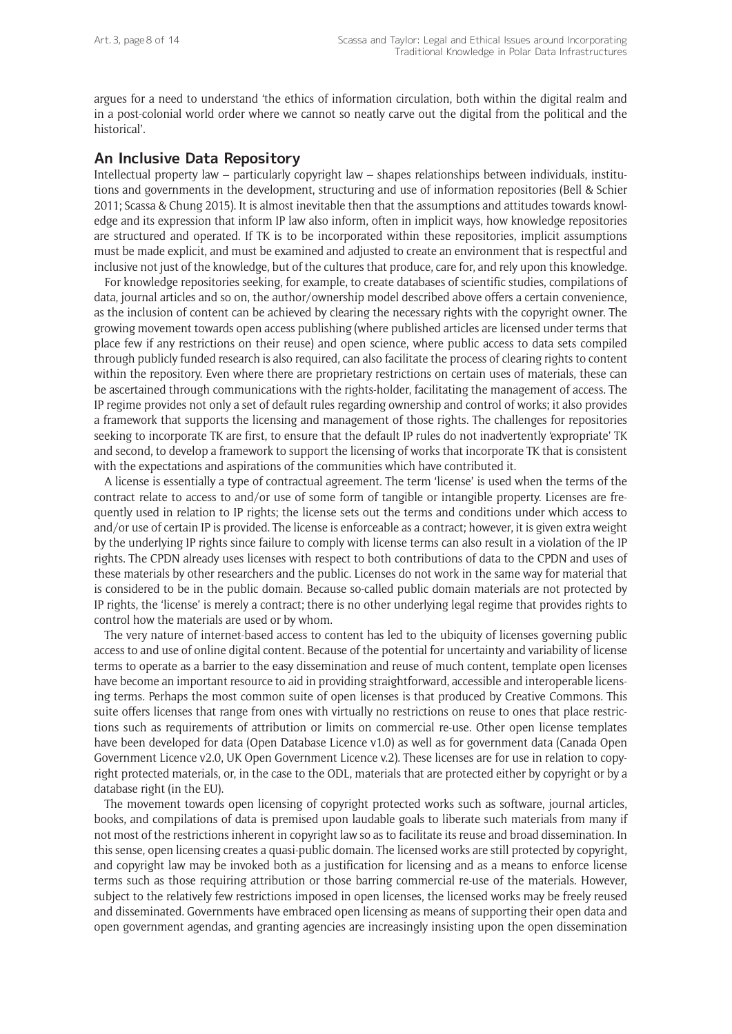argues for a need to understand 'the ethics of information circulation, both within the digital realm and in a post-colonial world order where we cannot so neatly carve out the digital from the political and the historical'.

## **An Inclusive Data Repository**

Intellectual property law – particularly copyright law – shapes relationships between individuals, institutions and governments in the development, structuring and use of information repositories (Bell & Schier 2011; Scassa & Chung 2015). It is almost inevitable then that the assumptions and attitudes towards knowledge and its expression that inform IP law also inform, often in implicit ways, how knowledge repositories are structured and operated. If TK is to be incorporated within these repositories, implicit assumptions must be made explicit, and must be examined and adjusted to create an environment that is respectful and inclusive not just of the knowledge, but of the cultures that produce, care for, and rely upon this knowledge.

For knowledge repositories seeking, for example, to create databases of scientific studies, compilations of data, journal articles and so on, the author/ownership model described above offers a certain convenience, as the inclusion of content can be achieved by clearing the necessary rights with the copyright owner. The growing movement towards open access publishing (where published articles are licensed under terms that place few if any restrictions on their reuse) and open science, where public access to data sets compiled through publicly funded research is also required, can also facilitate the process of clearing rights to content within the repository. Even where there are proprietary restrictions on certain uses of materials, these can be ascertained through communications with the rights-holder, facilitating the management of access. The IP regime provides not only a set of default rules regarding ownership and control of works; it also provides a framework that supports the licensing and management of those rights. The challenges for repositories seeking to incorporate TK are first, to ensure that the default IP rules do not inadvertently 'expropriate' TK and second, to develop a framework to support the licensing of works that incorporate TK that is consistent with the expectations and aspirations of the communities which have contributed it.

A license is essentially a type of contractual agreement. The term 'license' is used when the terms of the contract relate to access to and/or use of some form of tangible or intangible property. Licenses are frequently used in relation to IP rights; the license sets out the terms and conditions under which access to and/or use of certain IP is provided. The license is enforceable as a contract; however, it is given extra weight by the underlying IP rights since failure to comply with license terms can also result in a violation of the IP rights. The CPDN already uses licenses with respect to both contributions of data to the CPDN and uses of these materials by other researchers and the public. Licenses do not work in the same way for material that is considered to be in the public domain. Because so-called public domain materials are not protected by IP rights, the 'license' is merely a contract; there is no other underlying legal regime that provides rights to control how the materials are used or by whom.

The very nature of internet-based access to content has led to the ubiquity of licenses governing public access to and use of online digital content. Because of the potential for uncertainty and variability of license terms to operate as a barrier to the easy dissemination and reuse of much content, template open licenses have become an important resource to aid in providing straightforward, accessible and interoperable licensing terms. Perhaps the most common suite of open licenses is that produced by Creative Commons. This suite offers licenses that range from ones with virtually no restrictions on reuse to ones that place restrictions such as requirements of attribution or limits on commercial re-use. Other open license templates have been developed for data (Open Database Licence v1.0) as well as for government data (Canada Open Government Licence v2.0, UK Open Government Licence v.2). These licenses are for use in relation to copyright protected materials, or, in the case to the ODL, materials that are protected either by copyright or by a database right (in the EU).

The movement towards open licensing of copyright protected works such as software, journal articles, books, and compilations of data is premised upon laudable goals to liberate such materials from many if not most of the restrictions inherent in copyright law so as to facilitate its reuse and broad dissemination. In this sense, open licensing creates a quasi-public domain. The licensed works are still protected by copyright, and copyright law may be invoked both as a justification for licensing and as a means to enforce license terms such as those requiring attribution or those barring commercial re-use of the materials. However, subject to the relatively few restrictions imposed in open licenses, the licensed works may be freely reused and disseminated. Governments have embraced open licensing as means of supporting their open data and open government agendas, and granting agencies are increasingly insisting upon the open dissemination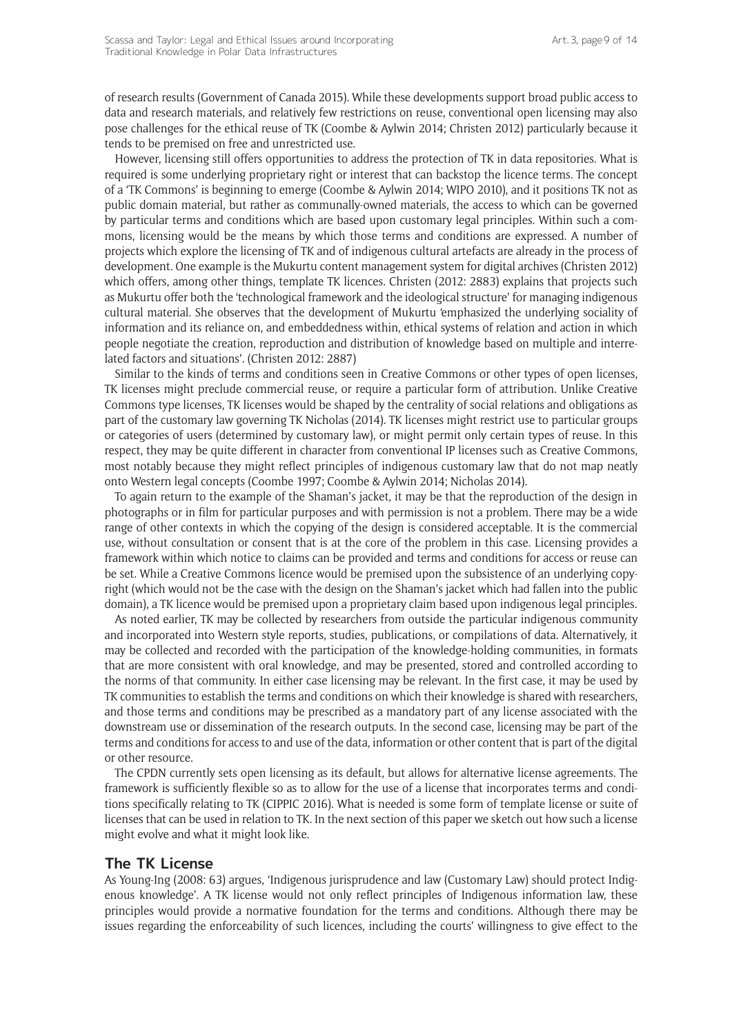of research results (Government of Canada 2015). While these developments support broad public access to data and research materials, and relatively few restrictions on reuse, conventional open licensing may also pose challenges for the ethical reuse of TK (Coombe & Aylwin 2014; Christen 2012) particularly because it tends to be premised on free and unrestricted use.

However, licensing still offers opportunities to address the protection of TK in data repositories. What is required is some underlying proprietary right or interest that can backstop the licence terms. The concept of a 'TK Commons' is beginning to emerge (Coombe & Aylwin 2014; WIPO 2010), and it positions TK not as public domain material, but rather as communally-owned materials, the access to which can be governed by particular terms and conditions which are based upon customary legal principles. Within such a commons, licensing would be the means by which those terms and conditions are expressed. A number of projects which explore the licensing of TK and of indigenous cultural artefacts are already in the process of development. One example is the Mukurtu content management system for digital archives (Christen 2012) which offers, among other things, template TK licences. Christen (2012: 2883) explains that projects such as Mukurtu offer both the 'technological framework and the ideological structure' for managing indigenous cultural material. She observes that the development of Mukurtu 'emphasized the underlying sociality of information and its reliance on, and embeddedness within, ethical systems of relation and action in which people negotiate the creation, reproduction and distribution of knowledge based on multiple and interrelated factors and situations'. (Christen 2012: 2887)

Similar to the kinds of terms and conditions seen in Creative Commons or other types of open licenses, TK licenses might preclude commercial reuse, or require a particular form of attribution. Unlike Creative Commons type licenses, TK licenses would be shaped by the centrality of social relations and obligations as part of the customary law governing TK Nicholas (2014). TK licenses might restrict use to particular groups or categories of users (determined by customary law), or might permit only certain types of reuse. In this respect, they may be quite different in character from conventional IP licenses such as Creative Commons, most notably because they might reflect principles of indigenous customary law that do not map neatly onto Western legal concepts (Coombe 1997; Coombe & Aylwin 2014; Nicholas 2014).

To again return to the example of the Shaman's jacket, it may be that the reproduction of the design in photographs or in film for particular purposes and with permission is not a problem. There may be a wide range of other contexts in which the copying of the design is considered acceptable. It is the commercial use, without consultation or consent that is at the core of the problem in this case. Licensing provides a framework within which notice to claims can be provided and terms and conditions for access or reuse can be set. While a Creative Commons licence would be premised upon the subsistence of an underlying copyright (which would not be the case with the design on the Shaman's jacket which had fallen into the public domain), a TK licence would be premised upon a proprietary claim based upon indigenous legal principles.

As noted earlier, TK may be collected by researchers from outside the particular indigenous community and incorporated into Western style reports, studies, publications, or compilations of data. Alternatively, it may be collected and recorded with the participation of the knowledge-holding communities, in formats that are more consistent with oral knowledge, and may be presented, stored and controlled according to the norms of that community. In either case licensing may be relevant. In the first case, it may be used by TK communities to establish the terms and conditions on which their knowledge is shared with researchers, and those terms and conditions may be prescribed as a mandatory part of any license associated with the downstream use or dissemination of the research outputs. In the second case, licensing may be part of the terms and conditions for access to and use of the data, information or other content that is part of the digital or other resource.

The CPDN currently sets open licensing as its default, but allows for alternative license agreements. The framework is sufficiently flexible so as to allow for the use of a license that incorporates terms and conditions specifically relating to TK (CIPPIC 2016). What is needed is some form of template license or suite of licenses that can be used in relation to TK. In the next section of this paper we sketch out how such a license might evolve and what it might look like.

#### **The TK License**

As Young-Ing (2008: 63) argues, 'Indigenous jurisprudence and law (Customary Law) should protect Indigenous knowledge'. A TK license would not only reflect principles of Indigenous information law, these principles would provide a normative foundation for the terms and conditions. Although there may be issues regarding the enforceability of such licences, including the courts' willingness to give effect to the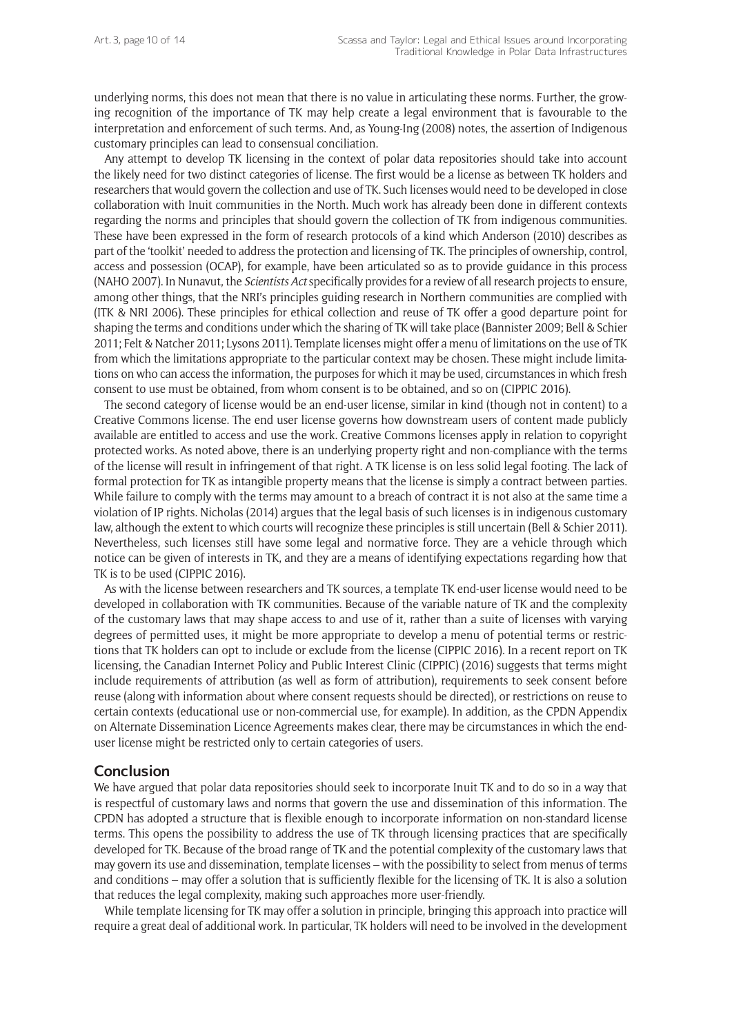underlying norms, this does not mean that there is no value in articulating these norms. Further, the growing recognition of the importance of TK may help create a legal environment that is favourable to the interpretation and enforcement of such terms. And, as Young-Ing (2008) notes, the assertion of Indigenous customary principles can lead to consensual conciliation.

Any attempt to develop TK licensing in the context of polar data repositories should take into account the likely need for two distinct categories of license. The first would be a license as between TK holders and researchers that would govern the collection and use of TK. Such licenses would need to be developed in close collaboration with Inuit communities in the North. Much work has already been done in different contexts regarding the norms and principles that should govern the collection of TK from indigenous communities. These have been expressed in the form of research protocols of a kind which Anderson (2010) describes as part of the 'toolkit' needed to address the protection and licensing of TK. The principles of ownership, control, access and possession (OCAP), for example, have been articulated so as to provide guidance in this process (NAHO 2007). In Nunavut, the *Scientists Act* specifically provides for a review of all research projects to ensure, among other things, that the NRI's principles guiding research in Northern communities are complied with (ITK & NRI 2006). These principles for ethical collection and reuse of TK offer a good departure point for shaping the terms and conditions under which the sharing of TK will take place (Bannister 2009; Bell & Schier 2011; Felt & Natcher 2011; Lysons 2011). Template licenses might offer a menu of limitations on the use of TK from which the limitations appropriate to the particular context may be chosen. These might include limitations on who can access the information, the purposes for which it may be used, circumstances in which fresh consent to use must be obtained, from whom consent is to be obtained, and so on (CIPPIC 2016).

The second category of license would be an end-user license, similar in kind (though not in content) to a Creative Commons license. The end user license governs how downstream users of content made publicly available are entitled to access and use the work. Creative Commons licenses apply in relation to copyright protected works. As noted above, there is an underlying property right and non-compliance with the terms of the license will result in infringement of that right. A TK license is on less solid legal footing. The lack of formal protection for TK as intangible property means that the license is simply a contract between parties. While failure to comply with the terms may amount to a breach of contract it is not also at the same time a violation of IP rights. Nicholas (2014) argues that the legal basis of such licenses is in indigenous customary law, although the extent to which courts will recognize these principles is still uncertain (Bell & Schier 2011). Nevertheless, such licenses still have some legal and normative force. They are a vehicle through which notice can be given of interests in TK, and they are a means of identifying expectations regarding how that TK is to be used (CIPPIC 2016).

As with the license between researchers and TK sources, a template TK end-user license would need to be developed in collaboration with TK communities. Because of the variable nature of TK and the complexity of the customary laws that may shape access to and use of it, rather than a suite of licenses with varying degrees of permitted uses, it might be more appropriate to develop a menu of potential terms or restrictions that TK holders can opt to include or exclude from the license (CIPPIC 2016). In a recent report on TK licensing, the Canadian Internet Policy and Public Interest Clinic (CIPPIC) (2016) suggests that terms might include requirements of attribution (as well as form of attribution), requirements to seek consent before reuse (along with information about where consent requests should be directed), or restrictions on reuse to certain contexts (educational use or non-commercial use, for example). In addition, as the CPDN Appendix on Alternate Dissemination Licence Agreements makes clear, there may be circumstances in which the enduser license might be restricted only to certain categories of users.

#### **Conclusion**

We have argued that polar data repositories should seek to incorporate Inuit TK and to do so in a way that is respectful of customary laws and norms that govern the use and dissemination of this information. The CPDN has adopted a structure that is flexible enough to incorporate information on non-standard license terms. This opens the possibility to address the use of TK through licensing practices that are specifically developed for TK. Because of the broad range of TK and the potential complexity of the customary laws that may govern its use and dissemination, template licenses – with the possibility to select from menus of terms and conditions – may offer a solution that is sufficiently flexible for the licensing of TK. It is also a solution that reduces the legal complexity, making such approaches more user-friendly.

While template licensing for TK may offer a solution in principle, bringing this approach into practice will require a great deal of additional work. In particular, TK holders will need to be involved in the development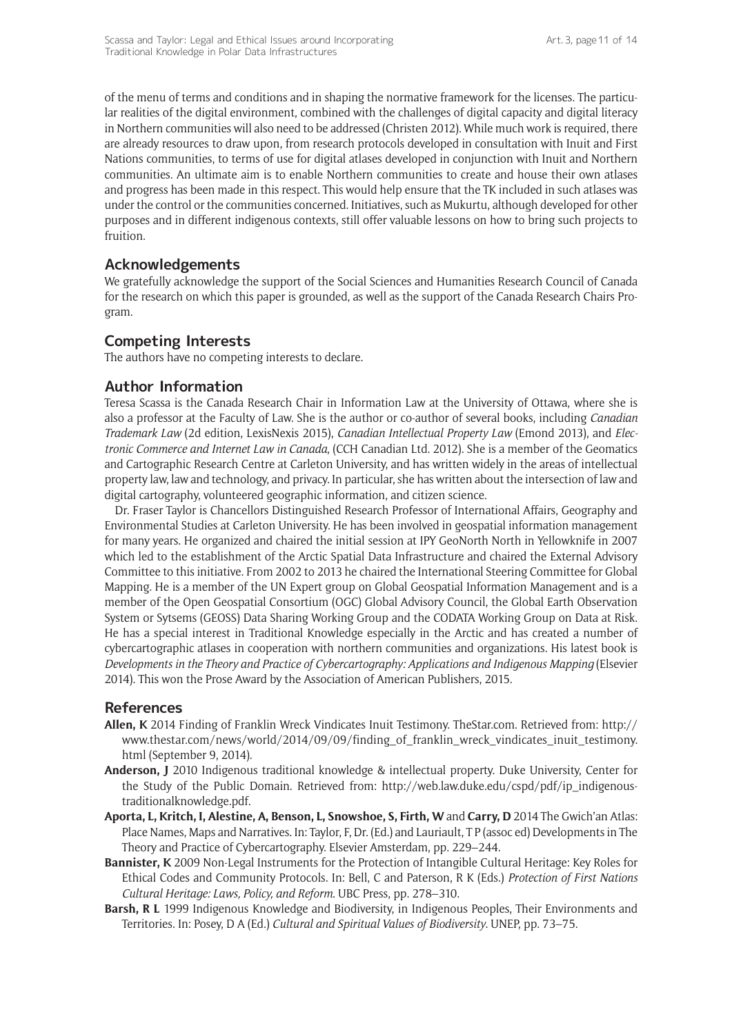of the menu of terms and conditions and in shaping the normative framework for the licenses. The particular realities of the digital environment, combined with the challenges of digital capacity and digital literacy in Northern communities will also need to be addressed (Christen 2012). While much work is required, there are already resources to draw upon, from research protocols developed in consultation with Inuit and First Nations communities, to terms of use for digital atlases developed in conjunction with Inuit and Northern communities. An ultimate aim is to enable Northern communities to create and house their own atlases and progress has been made in this respect. This would help ensure that the TK included in such atlases was under the control or the communities concerned. Initiatives, such as Mukurtu, although developed for other purposes and in different indigenous contexts, still offer valuable lessons on how to bring such projects to fruition.

# **Acknowledgements**

We gratefully acknowledge the support of the Social Sciences and Humanities Research Council of Canada for the research on which this paper is grounded, as well as the support of the Canada Research Chairs Program.

# **Competing Interests**

The authors have no competing interests to declare.

## **Author Information**

Teresa Scassa is the Canada Research Chair in Information Law at the University of Ottawa, where she is also a professor at the Faculty of Law. She is the author or co-author of several books, including *Canadian Trademark Law* (2d edition, LexisNexis 2015), *Canadian Intellectual Property Law* (Emond 2013), and *Electronic Commerce and Internet Law in Canada*, (CCH Canadian Ltd. 2012). She is a member of the Geomatics and Cartographic Research Centre at Carleton University, and has written widely in the areas of intellectual property law, law and technology, and privacy. In particular, she has written about the intersection of law and digital cartography, volunteered geographic information, and citizen science.

Dr. Fraser Taylor is Chancellors Distinguished Research Professor of International Affairs, Geography and Environmental Studies at Carleton University. He has been involved in geospatial information management for many years. He organized and chaired the initial session at IPY GeoNorth North in Yellowknife in 2007 which led to the establishment of the Arctic Spatial Data Infrastructure and chaired the External Advisory Committee to this initiative. From 2002 to 2013 he chaired the International Steering Committee for Global Mapping. He is a member of the UN Expert group on Global Geospatial Information Management and is a member of the Open Geospatial Consortium (OGC) Global Advisory Council, the Global Earth Observation System or Sytsems (GEOSS) Data Sharing Working Group and the CODATA Working Group on Data at Risk. He has a special interest in Traditional Knowledge especially in the Arctic and has created a number of cybercartographic atlases in cooperation with northern communities and organizations. His latest book is *Developments in the Theory and Practice of Cybercartography: Applications and Indigenous Mapping* (Elsevier 2014). This won the Prose Award by the Association of American Publishers, 2015.

#### **References**

- **Allen, K** 2014 Finding of Franklin Wreck Vindicates Inuit Testimony. [TheStar.com.](https://www.thestar.com/) Retrieved from: [http://](http://www.thestar.com/news/world/2014/09/09/finding_of_franklin_wreck_vindicates_inuit_testimony.html) [www.thestar.com/news/world/2014/09/09/finding\\_of\\_franklin\\_wreck\\_vindicates\\_inuit\\_testimony.](http://www.thestar.com/news/world/2014/09/09/finding_of_franklin_wreck_vindicates_inuit_testimony.html) [html](http://www.thestar.com/news/world/2014/09/09/finding_of_franklin_wreck_vindicates_inuit_testimony.html) (September 9, 2014).
- **Anderson, J** 2010 Indigenous traditional knowledge & intellectual property. Duke University, Center for the Study of the Public Domain. Retrieved from: [http://web.law.duke.edu/cspd/pdf/ip\\_indigenous](http://web.law.duke.edu/cspd/pdf/ip_indigenous-traditionalknowledge.pdf)[traditionalknowledge.pdf](http://web.law.duke.edu/cspd/pdf/ip_indigenous-traditionalknowledge.pdf).
- **Aporta, L, Kritch, I, Alestine, A, Benson, L, Snowshoe, S, Firth, W** and **Carry, D** 2014 The Gwich'an Atlas: Place Names, Maps and Narratives. In: Taylor, F, Dr. (Ed.) and Lauriault, T P (assoc ed) Developments in The Theory and Practice of Cybercartography. Elsevier Amsterdam, pp. 229–244.
- **Bannister, K** 2009 Non-Legal Instruments for the Protection of Intangible Cultural Heritage: Key Roles for Ethical Codes and Community Protocols. In: Bell, C and Paterson, R K (Eds.) *Protection of First Nations Cultural Heritage: Laws, Policy, and Reform*. UBC Press, pp. 278–310.
- **Barsh, R L** 1999 Indigenous Knowledge and Biodiversity, in Indigenous Peoples, Their Environments and Territories. In: Posey, D A (Ed.) *Cultural and Spiritual Values of Biodiversity*. UNEP, pp. 73–75.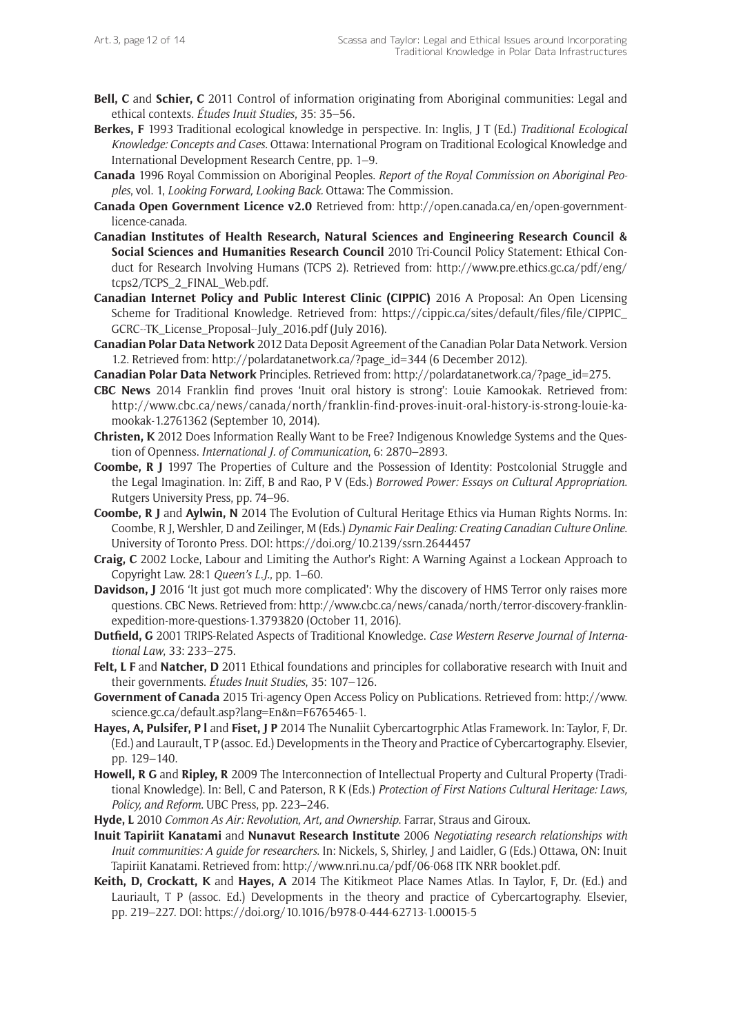- **Bell, C** and **Schier, C** 2011 Control of information originating from Aboriginal communities: Legal and ethical contexts. *Études Inuit Studies*, 35: 35–56.
- **Berkes, F** 1993 Traditional ecological knowledge in perspective. In: Inglis, J T (Ed.) *Traditional Ecological Knowledge: Concepts and Cases.* Ottawa: International Program on Traditional Ecological Knowledge and International Development Research Centre, pp. 1–9.
- **Canada** 1996 Royal Commission on Aboriginal Peoples. *Report of the Royal Commission on Aboriginal Peoples*, vol. 1, *Looking Forward, Looking Back.* Ottawa: The Commission.
- **Canada Open Government Licence v2.0** Retrieved from: [http://open.canada.ca/en/open-government](http://open.canada.ca/en/open-government-licence-canada)[licence-canada](http://open.canada.ca/en/open-government-licence-canada).
- **Canadian Institutes of Health Research, Natural Sciences and Engineering Research Council & Social Sciences and Humanities Research Council** 2010 Tri-Council Policy Statement: Ethical Conduct for Research Involving Humans (TCPS 2). Retrieved from: [http://www.pre.ethics.gc.ca/pdf/eng/](http://www.pre.ethics.gc.ca/pdf/eng/tcps2/TCPS_2_FINAL_Web.pdf) [tcps2/TCPS\\_2\\_FINAL\\_Web.pdf](http://www.pre.ethics.gc.ca/pdf/eng/tcps2/TCPS_2_FINAL_Web.pdf).
- **Canadian Internet Policy and Public Interest Clinic (CIPPIC)** 2016 A Proposal: An Open Licensing Scheme for Traditional Knowledge. Retrieved from: [https://cippic.ca/sites/default/files/file/CIPPIC\\_](https://cippic.ca/sites/default/files/file/CIPPIC_GCRC--TK_License_Proposal--July_2016.pdf) [GCRC--TK\\_License\\_Proposal--July\\_2016.pdf](https://cippic.ca/sites/default/files/file/CIPPIC_GCRC--TK_License_Proposal--July_2016.pdf) (July 2016).
- **Canadian Polar Data Network** 2012 Data Deposit Agreement of the Canadian Polar Data Network. Version 1.2. Retrieved from: [http://polardatanetwork.ca/?page\\_id=344](http://polardatanetwork.ca/?page_id=344) (6 December 2012).

**Canadian Polar Data Network** Principles. Retrieved from: [http://polardatanetwork.ca/?page\\_id=275.](http://polardatanetwork.ca/?page_id=275)

- **CBC News** 2014 Franklin find proves 'Inuit oral history is strong': Louie Kamookak. Retrieved from: [http://www.cbc.ca/news/canada/north/franklin-find-proves-inuit-oral-history-is-strong-louie-ka](http://www.cbc.ca/news/canada/north/franklin-find-proves-inuit-oral-history-is-strong-louie-kamookak-1.2761362)[mookak-1.2761362](http://www.cbc.ca/news/canada/north/franklin-find-proves-inuit-oral-history-is-strong-louie-kamookak-1.2761362) (September 10, 2014).
- **Christen, K** 2012 Does Information Really Want to be Free? Indigenous Knowledge Systems and the Question of Openness. *International J. of Communication*, 6: 2870–2893.
- **Coombe, R J** 1997 The Properties of Culture and the Possession of Identity: Postcolonial Struggle and the Legal Imagination. In: Ziff, B and Rao, P V (Eds.) *Borrowed Power: Essays on Cultural Appropriation*. Rutgers University Press, pp. 74–96.
- **Coombe, R J** and **Aylwin, N** 2014 The Evolution of Cultural Heritage Ethics via Human Rights Norms. In: Coombe, R J, Wershler, D and Zeilinger, M (Eds.) *Dynamic Fair Dealing: Creating Canadian Culture Online*. University of Toronto Press. DOI:<https://doi.org/10.2139/ssrn.2644457>
- **Craig, C** 2002 Locke, Labour and Limiting the Author's Right: A Warning Against a Lockean Approach to Copyright Law. 28:1 *Queen's L.J*., pp. 1–60.
- **Davidson, J** 2016 'It just got much more complicated': Why the discovery of HMS Terror only raises more questions. CBC News. Retrieved from: [http://www.cbc.ca/news/canada/north/terror-discovery-franklin](http://www.cbc.ca/news/canada/north/terror-discovery-franklin-expedition-more-questions-1.3793820)[expedition-more-questions-1.3793820](http://www.cbc.ca/news/canada/north/terror-discovery-franklin-expedition-more-questions-1.3793820) (October 11, 2016).
- **Dutfield, G** 2001 TRIPS-Related Aspects of Traditional Knowledge. *Case Western Reserve Journal of International Law*, 33: 233–275.
- Felt, L F and Natcher, D 2011 Ethical foundations and principles for collaborative research with Inuit and their governments. *Études Inuit Studies*, 35: 107–126.
- **Government of Canada** 2015 Tri-agency Open Access Policy on Publications. Retrieved from: [http://www.](http://www.science.gc.ca/default.asp?lang=En&n=F6765465-1) [science.gc.ca/default.asp?lang=En&n=F6765465-1.](http://www.science.gc.ca/default.asp?lang=En&n=F6765465-1)
- **Hayes, A, Pulsifer, P l** and **Fiset, J P** 2014 The Nunaliit Cybercartogrphic Atlas Framework. In: Taylor, F, Dr. (Ed.) and Laurault, T P (assoc. Ed.) Developments in the Theory and Practice of Cybercartography. Elsevier, pp. 129–140.
- **Howell, R G** and **Ripley, R** 2009 The Interconnection of Intellectual Property and Cultural Property (Traditional Knowledge). In: Bell, C and Paterson, R K (Eds.) *Protection of First Nations Cultural Heritage: Laws, Policy, and Reform*. UBC Press, pp. 223–246.
- **Hyde, L** 2010 *Common As Air: Revolution, Art, and Ownership*. Farrar, Straus and Giroux.
- **Inuit Tapiriit Kanatami** and **Nunavut Research Institute** 2006 *Negotiating research relationships with Inuit communities: A guide for researchers*. In: Nickels, S, Shirley, J and Laidler, G (Eds.) Ottawa, ON: Inuit Tapiriit Kanatami. Retrieved from: [http://www.nri.nu.ca/pdf/06-068 ITK NRR booklet.pdf.](http://www.nri.nu.ca/pdf/06-068 ITK NRR booklet.pdf)
- **Keith, D, Crockatt, K** and **Hayes, A** 2014 The Kitikmeot Place Names Atlas. In Taylor, F, Dr. (Ed.) and Lauriault, T P (assoc. Ed.) Developments in the theory and practice of Cybercartography. Elsevier, pp. 219–227. DOI:<https://doi.org/10.1016/b978-0-444-62713-1.00015-5>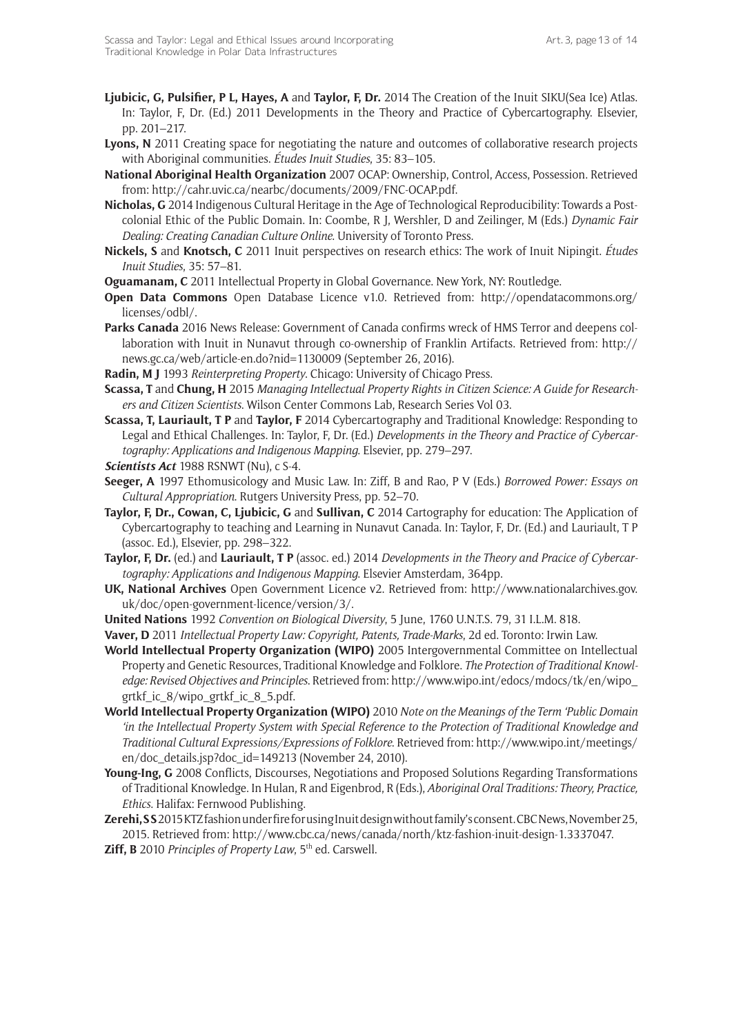- **Ljubicic, G, Pulsifier, P L, Hayes, A** and **Taylor, F, Dr.** 2014 The Creation of the Inuit SIKU(Sea Ice) Atlas. In: Taylor, F, Dr. (Ed.) 2011 Developments in the Theory and Practice of Cybercartography. Elsevier, pp. 201–217.
- **Lyons, N** 2011 Creating space for negotiating the nature and outcomes of collaborative research projects with Aboriginal communities. *Études Inuit Studies*, 35: 83–105.
- **National Aboriginal Health Organization** 2007 OCAP: Ownership, Control, Access, Possession. Retrieved from: <http://cahr.uvic.ca/nearbc/documents/2009/FNC-OCAP.pdf>.
- **Nicholas, G** 2014 Indigenous Cultural Heritage in the Age of Technological Reproducibility: Towards a Postcolonial Ethic of the Public Domain. In: Coombe, R J, Wershler, D and Zeilinger, M (Eds.) *Dynamic Fair Dealing: Creating Canadian Culture Online*. University of Toronto Press.
- **Nickels, S** and **Knotsch, C** 2011 Inuit perspectives on research ethics: The work of Inuit Nipingit. *Études Inuit Studies*, 35: 57–81.
- **Oguamanam, C** 2011 Intellectual Property in Global Governance. New York, NY: Routledge.
- **Open Data Commons** Open Database Licence v1.0. Retrieved from: [http://opendatacommons.org/](http://opendatacommons.org/licenses/odbl/) [licenses/odbl/](http://opendatacommons.org/licenses/odbl/).
- **Parks Canada** 2016 News Release: Government of Canada confirms wreck of HMS Terror and deepens collaboration with Inuit in Nunavut through co-ownership of Franklin Artifacts. Retrieved from: [http://](http://news.gc.ca/web/article-en.do?nid=1130009) [news.gc.ca/web/article-en.do?nid=1130009](http://news.gc.ca/web/article-en.do?nid=1130009) (September 26, 2016).
- **Radin, M J** 1993 *Reinterpreting Property*. Chicago: University of Chicago Press.
- **Scassa, T** and **Chung, H** 2015 *Managing Intellectual Property Rights in Citizen Science: A Guide for Researchers and Citizen Scientists*. Wilson Center Commons Lab, Research Series Vol 03.
- **Scassa, T, Lauriault, T P** and **Taylor, F** 2014 Cybercartography and Traditional Knowledge: Responding to Legal and Ethical Challenges. In: Taylor, F, Dr. (Ed.) *Developments in the Theory and Practice of Cybercartography: Applications and Indigenous Mapping*. Elsevier, pp. 279–297.
- *Scientists Act* 1988 RSNWT (Nu), c S-4.
- **Seeger, A** 1997 Ethomusicology and Music Law. In: Ziff, B and Rao, P V (Eds.) *Borrowed Power: Essays on Cultural Appropriation*. Rutgers University Press, pp. 52–70.
- **Taylor, F, Dr., Cowan, C, Ljubicic, G** and **Sullivan, C** 2014 Cartography for education: The Application of Cybercartography to teaching and Learning in Nunavut Canada. In: Taylor, F, Dr. (Ed.) and Lauriault, T P (assoc. Ed.), Elsevier, pp. 298–322.
- **Taylor, F, Dr.** (ed.) and **Lauriault, T P** (assoc. ed.) 2014 *Developments in the Theory and Pracice of Cybercartography: Applications and Indigenous Mapping*. Elsevier Amsterdam, 364pp.
- **UK, National Archives** Open Government Licence v2. Retrieved from: [http://www.nationalarchives.gov.](http://www.nationalarchives.gov.uk/doc/open-government-licence/version/3/) [uk/doc/open-government-licence/version/3/.](http://www.nationalarchives.gov.uk/doc/open-government-licence/version/3/)
- **United Nations** 1992 *Convention on Biological Diversity*, 5 June, 1760 U.N.T.S. 79, 31 I.L.M. 818.
- **Vaver, D** 2011 *Intellectual Property Law: Copyright, Patents, Trade-Marks*, 2d ed. Toronto: Irwin Law.
- **World Intellectual Property Organization (WIPO)** 2005 Intergovernmental Committee on Intellectual Property and Genetic Resources, Traditional Knowledge and Folklore. *The Protection of Traditional Knowledge: Revised Objectives and Principles*. Retrieved from: [http://www.wipo.int/edocs/mdocs/tk/en/wipo\\_](http://www.wipo.int/edocs/mdocs/tk/en/wipo_grtkf_ic_8/wipo_grtkf_ic_8_5.pdf) [grtkf\\_ic\\_8/wipo\\_grtkf\\_ic\\_8\\_5.pdf](http://www.wipo.int/edocs/mdocs/tk/en/wipo_grtkf_ic_8/wipo_grtkf_ic_8_5.pdf).
- **World Intellectual Property Organization (WIPO)** 2010 *Note on the Meanings of the Term 'Public Domain 'in the Intellectual Property System with Special Reference to the Protection of Traditional Knowledge and Traditional Cultural Expressions/Expressions of Folklore*. Retrieved from: [http://www.wipo.int/meetings/](http://www.wipo.int/meetings/en/doc_details.jsp?doc_id=149213) [en/doc\\_details.jsp?doc\\_id=149213](http://www.wipo.int/meetings/en/doc_details.jsp?doc_id=149213) (November 24, 2010).
- **Young-Ing, G** 2008 Conflicts, Discourses, Negotiations and Proposed Solutions Regarding Transformations of Traditional Knowledge. In Hulan, R and Eigenbrod, R (Eds.), *Aboriginal Oral Traditions: Theory, Practice, Ethics*. Halifax: Fernwood Publishing.
- **Zerehi, S S** 2015 KTZ fashion under fire for using Inuit design without family's consent. CBC News, November 25, 2015. Retrieved from: <http://www.cbc.ca/news/canada/north/ktz-fashion-inuit-design-1.3337047>.
- Ziff, B 2010 *Principles of Property Law*, 5<sup>th</sup> ed. Carswell.